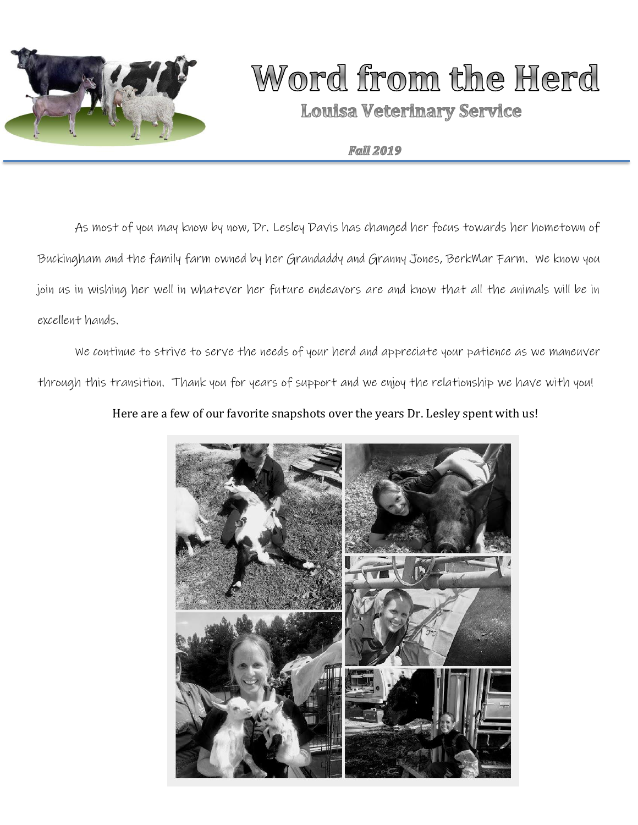

# Word from the Herd

**Louisa Veterinary Service** 

### **Fall 2019**

As most of you may know by now, Dr. Lesley Davis has changed her focus towards her hometown of Buckingham and the family farm owned by her Grandaddy and Granny Jones, BerkMar Farm. We know you join us in wishing her well in whatever her future endeavors are and know that all the animals will be in excellent hands.

We continue to strive to serve the needs of your herd and appreciate your patience as we maneuver through this transition. Thank you for years of support and we enjoy the relationship we have with you!

## Here are a few of our favorite snapshots over the years Dr. Lesley spent with us!

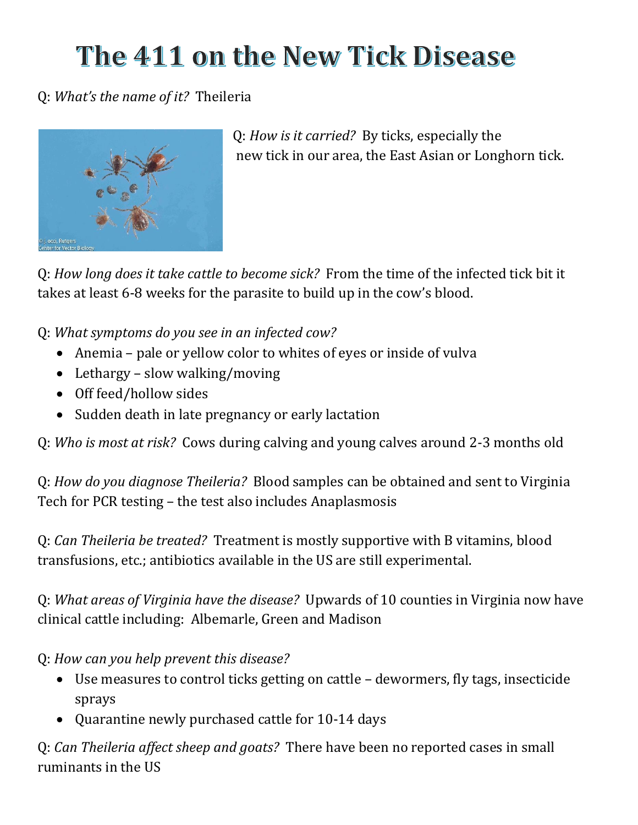# The 411 on the New Tick Disease

# Q: *What's the name of it?* Theileria



Q: *How is it carried?* By ticks, especially the new tick in our area, the East Asian or Longhorn tick.

Q: *How long does it take cattle to become sick?* From the time of the infected tick bit it takes at least 6-8 weeks for the parasite to build up in the cow's blood.

Q: *What symptoms do you see in an infected cow?*

- Anemia pale or yellow color to whites of eyes or inside of vulva
- Lethargy slow walking/moving
- Off feed/hollow sides
- Sudden death in late pregnancy or early lactation

Q: *Who is most at risk?* Cows during calving and young calves around 2-3 months old

Q: *How do you diagnose Theileria?* Blood samples can be obtained and sent to Virginia Tech for PCR testing – the test also includes Anaplasmosis

Q: *Can Theileria be treated?* Treatment is mostly supportive with B vitamins, blood transfusions, etc.; antibiotics available in the US are still experimental.

Q: *What areas of Virginia have the disease?* Upwards of 10 counties in Virginia now have clinical cattle including: Albemarle, Green and Madison

Q: *How can you help prevent this disease?*

- Use measures to control ticks getting on cattle dewormers, fly tags, insecticide sprays
- Quarantine newly purchased cattle for 10-14 days

Q: *Can Theileria affect sheep and goats?* There have been no reported cases in small ruminants in the US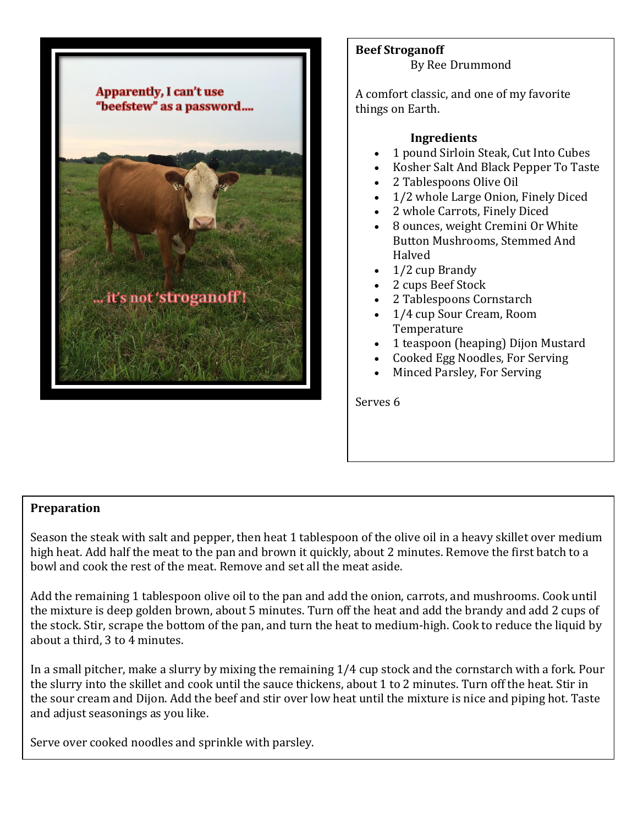

**Beef Stroganoff** By Ree Drummond

A comfort classic, and one of my favorite things on Earth.

### **Ingredients**

- 1 pound Sirloin Steak, Cut Into Cubes
- Kosher Salt And Black Pepper To Taste
- 2 Tablespoons Olive Oil
- 1/2 whole Large Onion, Finely Diced
- 2 whole Carrots, Finely Diced
- 8 ounces, weight Cremini Or White Button Mushrooms, Stemmed And Halved
- 1/2 cup Brandy
- 2 cups Beef Stock
- 2 Tablespoons Cornstarch
- 1/4 cup Sour Cream, Room **Temperature**
- 1 teaspoon (heaping) Dijon Mustard
- Cooked Egg Noodles, For Serving
- Minced Parsley, For Serving

Serves 6

### **Preparation**

Season the steak with salt and pepper, then heat 1 tablespoon of the olive oil in a heavy skillet over medium high heat. Add half the meat to the pan and brown it quickly, about 2 minutes. Remove the first batch to a bowl and cook the rest of the meat. Remove and set all the meat aside.

Add the remaining 1 tablespoon olive oil to the pan and add the onion, carrots, and mushrooms. Cook until the mixture is deep golden brown, about 5 minutes. Turn off the heat and add the brandy and add 2 cups of the stock. Stir, scrape the bottom of the pan, and turn the heat to medium-high. Cook to reduce the liquid by about a third, 3 to 4 minutes.

In a small pitcher, make a slurry by mixing the remaining 1/4 cup stock and the cornstarch with a fork. Pour the slurry into the skillet and cook until the sauce thickens, about 1 to 2 minutes. Turn off the heat. Stir in the sour cream and Dijon. Add the beef and stir over low heat until the mixture is nice and piping hot. Taste and adjust seasonings as you like.

Serve over cooked noodles and sprinkle with parsley.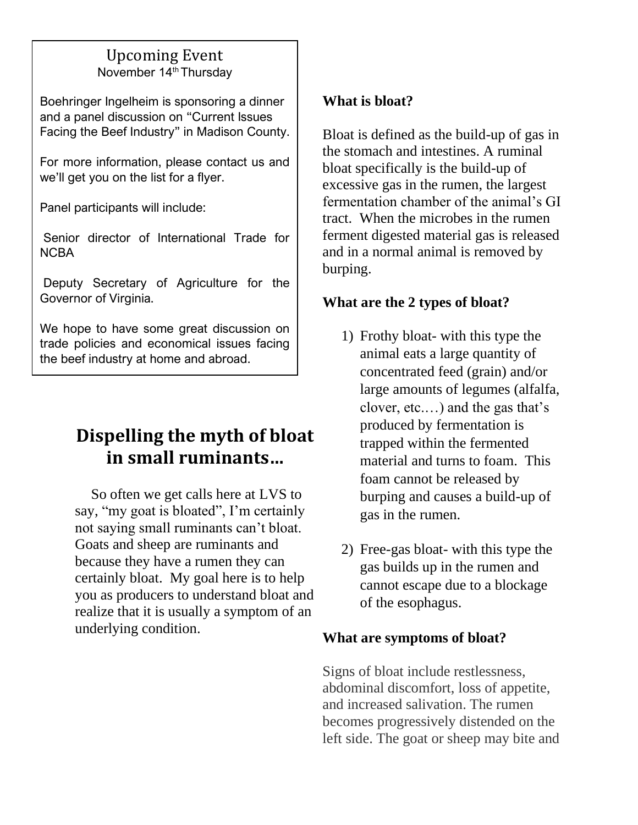# Upcoming Event November 14<sup>th</sup> Thursdav

Boehringer Ingelheim is sponsoring a dinner and a panel discussion on "Current Issues Facing the Beef Industry" in Madison County.

For more information, please contact us and we'll get you on the list for a flyer.

Panel participants will include:

Senior director of International Trade for **NCBA** 

Deputy Secretary of Agriculture for the Governor of Virginia.

We hope to have some great discussion on trade policies and economical issues facing the beef industry at home and abroad.

# **Dispelling the myth of bloat in small ruminants…**

 So often we get calls here at LVS to say, "my goat is bloated", I'm certainly not saying small ruminants can't bloat. Goats and sheep are ruminants and because they have a rumen they can certainly bloat. My goal here is to help you as producers to understand bloat and realize that it is usually a symptom of an underlying condition.

# **What is bloat?**

Bloat is defined as the build-up of gas in the stomach and intestines. A ruminal bloat specifically is the build-up of excessive gas in the rumen, the largest fermentation chamber of the animal's GI tract. When the microbes in the rumen ferment digested material gas is released and in a normal animal is removed by burping.

# **What are the 2 types of bloat?**

- 1) Frothy bloat- with this type the animal eats a large quantity of concentrated feed (grain) and/or large amounts of legumes (alfalfa, clover, etc.…) and the gas that's produced by fermentation is trapped within the fermented material and turns to foam. This foam cannot be released by burping and causes a build-up of gas in the rumen.
- 2) Free-gas bloat- with this type the gas builds up in the rumen and cannot escape due to a blockage of the esophagus.

# **What are symptoms of bloat?**

Signs of bloat include restlessness, abdominal discomfort, loss of appetite, and increased salivation. The rumen becomes progressively distended on the left side. The goat or sheep may bite and